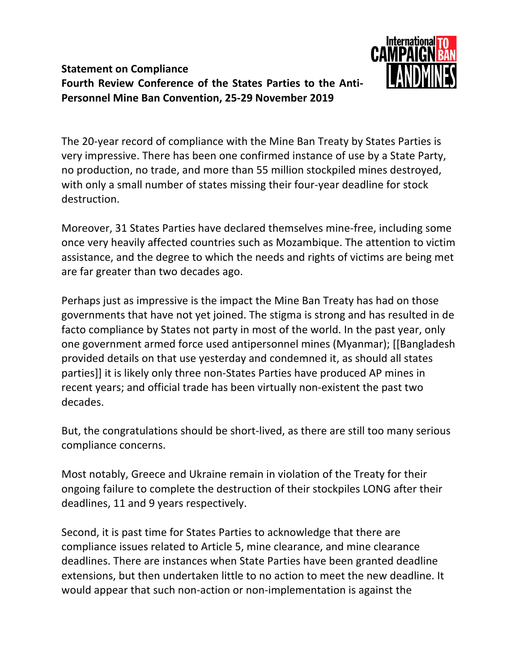## **Statement on Compliance Fourth Review Conference of the States Parties to the Anti-Personnel Mine Ban Convention, 25-29 November 2019**



The 20-year record of compliance with the Mine Ban Treaty by States Parties is very impressive. There has been one confirmed instance of use by a State Party, no production, no trade, and more than 55 million stockpiled mines destroyed, with only a small number of states missing their four-year deadline for stock destruction.

Moreover, 31 States Parties have declared themselves mine-free, including some once very heavily affected countries such as Mozambique. The attention to victim assistance, and the degree to which the needs and rights of victims are being met are far greater than two decades ago.

Perhaps just as impressive is the impact the Mine Ban Treaty has had on those governments that have not yet joined. The stigma is strong and has resulted in de facto compliance by States not party in most of the world. In the past year, only one government armed force used antipersonnel mines (Myanmar); [[Bangladesh provided details on that use yesterday and condemned it, as should all states parties]] it is likely only three non-States Parties have produced AP mines in recent years; and official trade has been virtually non-existent the past two decades.

But, the congratulations should be short-lived, as there are still too many serious compliance concerns.

Most notably, Greece and Ukraine remain in violation of the Treaty for their ongoing failure to complete the destruction of their stockpiles LONG after their deadlines, 11 and 9 years respectively.

Second, it is past time for States Parties to acknowledge that there are compliance issues related to Article 5, mine clearance, and mine clearance deadlines. There are instances when State Parties have been granted deadline extensions, but then undertaken little to no action to meet the new deadline. It would appear that such non-action or non-implementation is against the